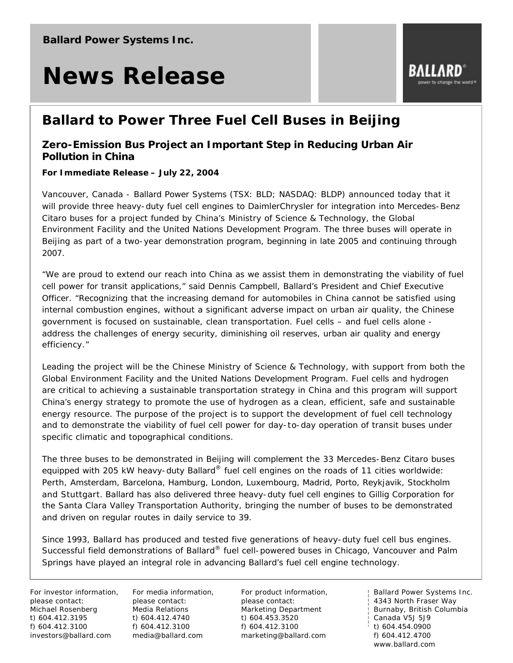# **News Release**

### **Ballard to Power Three Fuel Cell Buses in Beijing**

#### *Zero-Emission Bus Project an Important Step in Reducing Urban Air Pollution in China*

**For Immediate Release – July 22, 2004**

Vancouver, Canada - Ballard Power Systems (TSX: BLD; NASDAQ: BLDP) announced today that it will provide three heavy-duty fuel cell engines to DaimlerChrysler for integration into Mercedes-Benz Citaro buses for a project funded by China's Ministry of Science & Technology, the Global Environment Facility and the United Nations Development Program. The three buses will operate in Beijing as part of a two-year demonstration program, beginning in late 2005 and continuing through 2007.

"We are proud to extend our reach into China as we assist them in demonstrating the viability of fuel cell power for transit applications," said Dennis Campbell, Ballard's President and Chief Executive Officer. "Recognizing that the increasing demand for automobiles in China cannot be satisfied using internal combustion engines, without a significant adverse impact on urban air quality, the Chinese government is focused on sustainable, clean transportation. Fuel cells – and fuel cells alone address the challenges of energy security, diminishing oil reserves, urban air quality and energy efficiency."

Leading the project will be the Chinese Ministry of Science & Technology, with support from both the Global Environment Facility and the United Nations Development Program. Fuel cells and hydrogen are critical to achieving a sustainable transportation strategy in China and this program will support China's energy strategy to promote the use of hydrogen as a clean, efficient, safe and sustainable energy resource. The purpose of the project is to support the development of fuel cell technology and to demonstrate the viability of fuel cell power for day-to-day operation of transit buses under specific climatic and topographical conditions.

The three buses to be demonstrated in Beijing will complement the 33 Mercedes-Benz Citaro buses equipped with 205 kW heavy-duty Ballard<sup>®</sup> fuel cell engines on the roads of 11 cities worldwide: Perth, Amsterdam, Barcelona, Hamburg, London, Luxembourg, Madrid, Porto, Reykjavik, Stockholm and Stuttgart. Ballard has also delivered three heavy-duty fuel cell engines to Gillig Corporation for the Santa Clara Valley Transportation Authority, bringing the number of buses to be demonstrated and driven on regular routes in daily service to 39.

Since 1993, Ballard has produced and tested five generations of heavy-duty fuel cell bus engines. Successful field demonstrations of Ballard® fuel cell-powered buses in Chicago, Vancouver and Palm Springs have played an integral role in advancing Ballard's fuel cell engine technology.

For investor information, please contact: Michael Rosenberg t) 604.412.3195 f) 604.412.3100 investors@ballard.com

For media information, please contact: Media Relations t) 604.412.4740 f) 604.412.3100 media@ballard.com

For product information, please contact: Marketing Department t) 604.453.3520 f) 604.412.3100 marketing@ballard.com

Ballard Power Systems Inc. 4343 North Fraser Way Burnaby, British Columbia Canada V5J 5J9  $\frac{1}{1}$  t) 604.454.0900 f) 604.412.4700 www.ballard.com